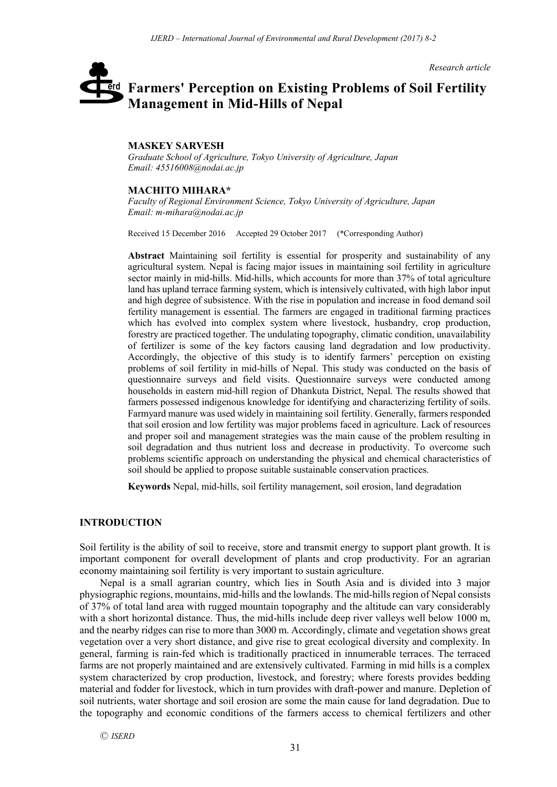*Research article*

# **Farmers' Perception on Existing Problems of Soil Fertility**  erd **Management in Mid-Hills of Nepal**

## **MASKEY SARVESH**

*Graduate School of Agriculture, Tokyo University of Agriculture, Japan Email: 45516008@nodai.ac.jp*

## **MACHITO MIHARA\***

*Faculty of Regional Environment Science, Tokyo University of Agriculture, Japan Email: m-mihara@nodai.ac.jp*

Received 15 December 2016 Accepted 29 October 2017 (\*Corresponding Author)

**Abstract** Maintaining soil fertility is essential for prosperity and sustainability of any agricultural system. Nepal is facing major issues in maintaining soil fertility in agriculture sector mainly in mid-hills. Mid-hills, which accounts for more than 37% of total agriculture land has upland terrace farming system, which is intensively cultivated, with high labor input and high degree of subsistence. With the rise in population and increase in food demand soil fertility management is essential. The farmers are engaged in traditional farming practices which has evolved into complex system where livestock, husbandry, crop production, forestry are practiced together. The undulating topography, climatic condition, unavailability of fertilizer is some of the key factors causing land degradation and low productivity. Accordingly, the objective of this study is to identify farmers' perception on existing problems of soil fertility in mid-hills of Nepal. This study was conducted on the basis of questionnaire surveys and field visits. Questionnaire surveys were conducted among households in eastern mid-hill region of Dhankuta District, Nepal. The results showed that farmers possessed indigenous knowledge for identifying and characterizing fertility of soils. Farmyard manure was used widely in maintaining soil fertility. Generally, farmers responded that soil erosion and low fertility was major problems faced in agriculture. Lack of resources and proper soil and management strategies was the main cause of the problem resulting in soil degradation and thus nutrient loss and decrease in productivity. To overcome such problems scientific approach on understanding the physical and chemical characteristics of soil should be applied to propose suitable sustainable conservation practices.

**Keywords** Nepal, mid-hills, soil fertility management, soil erosion, land degradation

## **INTRODUCTION**

Soil fertility is the ability of soil to receive, store and transmit energy to support plant growth. It is important component for overall development of plants and crop productivity. For an agrarian economy maintaining soil fertility is very important to sustain agriculture.

Nepal is a small agrarian country, which lies in South Asia and is divided into 3 major physiographic regions, mountains, mid-hills and the lowlands. The mid-hills region of Nepal consists of 37% of total land area with rugged mountain topography and the altitude can vary considerably with a short horizontal distance. Thus, the mid-hills include deep river valleys well below 1000 m, and the nearby ridges can rise to more than 3000 m. Accordingly, climate and vegetation shows great vegetation over a very short distance, and give rise to great ecological diversity and complexity. In general, farming is rain-fed which is traditionally practiced in innumerable terraces. The terraced farms are not properly maintained and are extensively cultivated. Farming in mid hills is a complex system characterized by crop production, livestock, and forestry; where forests provides bedding material and fodder for livestock, which in turn provides with draft-power and manure. Depletion of soil nutrients, water shortage and soil erosion are some the main cause for land degradation. Due to the topography and economic conditions of the farmers access to chemical fertilizers and other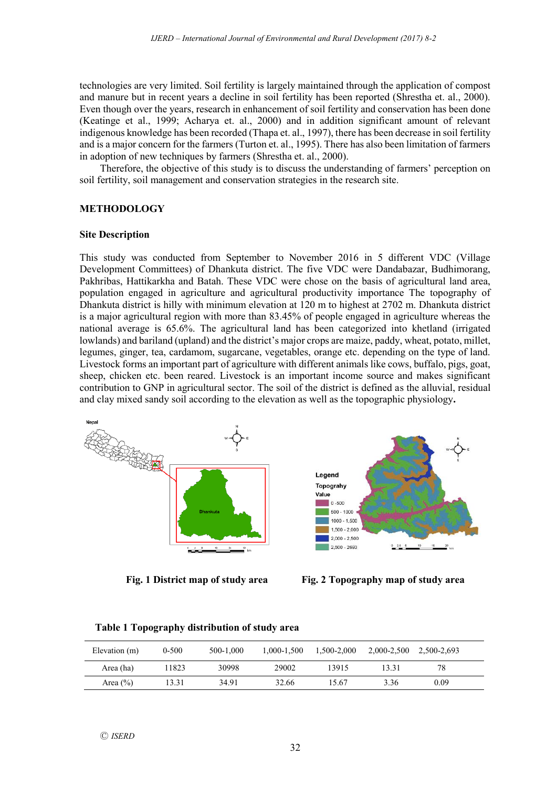technologies are very limited. Soil fertility is largely maintained through the application of compost and manure but in recent years a decline in soil fertility has been reported (Shrestha et. al., 2000). Even though over the years, research in enhancement of soil fertility and conservation has been done (Keatinge et al., 1999; Acharya et. al., 2000) and in addition significant amount of relevant indigenous knowledge has been recorded (Thapa et. al., 1997), there has been decrease in soil fertility and is a major concern for the farmers (Turton et. al., 1995). There has also been limitation of farmers in adoption of new techniques by farmers (Shrestha et. al., 2000).

Therefore, the objective of this study is to discuss the understanding of farmers' perception on soil fertility, soil management and conservation strategies in the research site.

#### **METHODOLOGY**

#### **Site Description**

This study was conducted from September to November 2016 in 5 different VDC (Village Development Committees) of Dhankuta district. The five VDC were Dandabazar, Budhimorang, Pakhribas, Hattikarkha and Batah. These VDC were chose on the basis of agricultural land area, population engaged in agriculture and agricultural productivity importance The topography of Dhankuta district is hilly with minimum elevation at 120 m to highest at 2702 m. Dhankuta district is a major agricultural region with more than 83.45% of people engaged in agriculture whereas the national average is 65.6%. The agricultural land has been categorized into khetland (irrigated lowlands) and bariland (upland) and the district's major crops are maize, paddy, wheat, potato, millet, legumes, ginger, tea, cardamom, sugarcane, vegetables, orange etc. depending on the type of land. Livestock forms an important part of agriculture with different animals like cows, buffalo, pigs, goat, sheep, chicken etc. been reared. Livestock is an important income source and makes significant contribution to GNP in agricultural sector. The soil of the district is defined as the alluvial, residual and clay mixed sandy soil according to the elevation as well as the topographic physiology**.**





| Elevation (m) | $0 - 500$ | 500-1.000 | 1.000-1.500 | 1.500-2.000 | 2,000-2,500 2,500-2,693 |      |  |
|---------------|-----------|-----------|-------------|-------------|-------------------------|------|--|
| Area (ha)     | 11823     | 30998     | 29002       | 13915       | 13 31                   | 78   |  |
| Area $(\% )$  | 13.31     | 34.91     | 32.66       | 15.67       | 3.36                    | 0.09 |  |

**Table 1 Topography distribution of study area**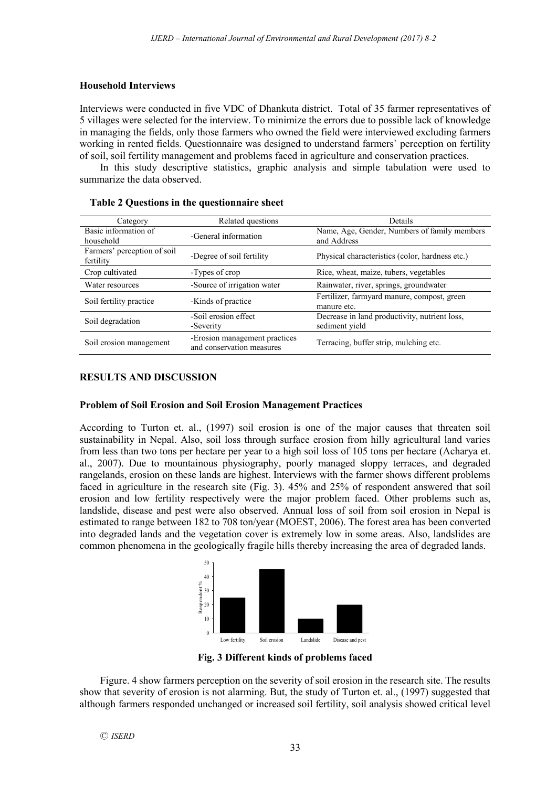## **Household Interviews**

Interviews were conducted in five VDC of Dhankuta district. Total of 35 farmer representatives of 5 villages were selected for the interview. To minimize the errors due to possible lack of knowledge in managing the fields, only those farmers who owned the field were interviewed excluding farmers working in rented fields. Questionnaire was designed to understand farmers` perception on fertility of soil, soil fertility management and problems faced in agriculture and conservation practices.

In this study descriptive statistics, graphic analysis and simple tabulation were used to summarize the data observed.

| Category                                 | Related questions                                          | Details                                                         |  |  |
|------------------------------------------|------------------------------------------------------------|-----------------------------------------------------------------|--|--|
| Basic information of<br>household        | -General information                                       | Name, Age, Gender, Numbers of family members<br>and Address     |  |  |
| Farmers' perception of soil<br>fertility | -Degree of soil fertility                                  | Physical characteristics (color, hardness etc.)                 |  |  |
| Crop cultivated                          | -Types of crop                                             | Rice, wheat, maize, tubers, vegetables                          |  |  |
| Water resources                          | -Source of irrigation water                                | Rainwater, river, springs, groundwater                          |  |  |
| Soil fertility practice                  | -Kinds of practice                                         | Fertilizer, farmyard manure, compost, green<br>manure etc.      |  |  |
| Soil degradation                         | -Soil erosion effect<br>-Severity                          | Decrease in land productivity, nutrient loss,<br>sediment vield |  |  |
| Soil erosion management                  | -Erosion management practices<br>and conservation measures | Terracing, buffer strip, mulching etc.                          |  |  |

|  | Table 2 Questions in the questionnaire sheet |  |  |  |  |
|--|----------------------------------------------|--|--|--|--|
|--|----------------------------------------------|--|--|--|--|

## **RESULTS AND DISCUSSION**

#### **Problem of Soil Erosion and Soil Erosion Management Practices**

According to Turton et. al., (1997) soil erosion is one of the major causes that threaten soil sustainability in Nepal. Also, soil loss through surface erosion from hilly agricultural land varies from less than two tons per hectare per year to a high soil loss of 105 tons per hectare (Acharya et. al., 2007). Due to mountainous physiography, poorly managed sloppy terraces, and degraded rangelands, erosion on these lands are highest. Interviews with the farmer shows different problems faced in agriculture in the research site (Fig. 3). 45% and 25% of respondent answered that soil erosion and low fertility respectively were the major problem faced. Other problems such as, landslide, disease and pest were also observed. Annual loss of soil from soil erosion in Nepal is estimated to range between 182 to 708 ton/year (MOEST, 2006). The forest area has been converted into degraded lands and the vegetation cover is extremely low in some areas. Also, landslides are common phenomena in the geologically fragile hills thereby increasing the area of degraded lands.



**Fig. 3 Different kinds of problems faced**

Figure. 4 show farmers perception on the severity of soil erosion in the research site. The results show that severity of erosion is not alarming. But, the study of Turton et. al., (1997) suggested that although farmers responded unchanged or increased soil fertility, soil analysis showed critical level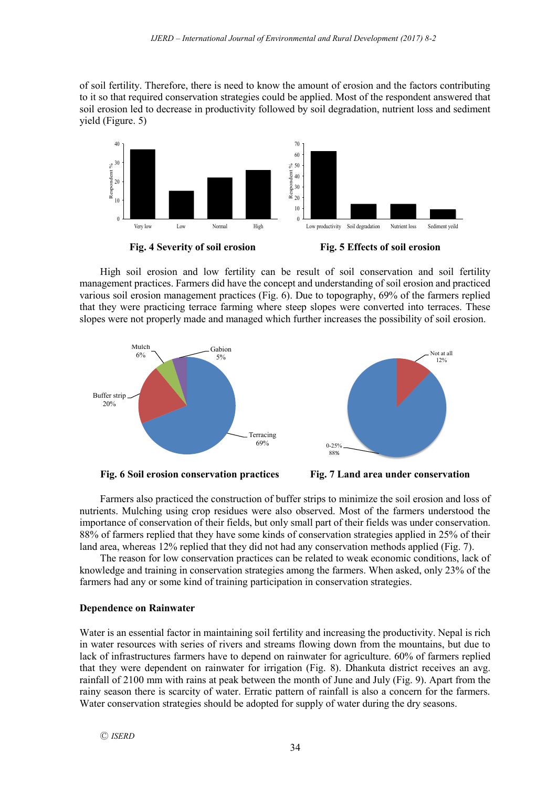of soil fertility. Therefore, there is need to know the amount of erosion and the factors contributing to it so that required conservation strategies could be applied. Most of the respondent answered that soil erosion led to decrease in productivity followed by soil degradation, nutrient loss and sediment yield (Figure. 5)



High soil erosion and low fertility can be result of soil conservation and soil fertility management practices. Farmers did have the concept and understanding of soil erosion and practiced various soil erosion management practices (Fig. 6). Due to topography, 69% of the farmers replied that they were practicing terrace farming where steep slopes were converted into terraces. These slopes were not properly made and managed which further increases the possibility of soil erosion.





Farmers also practiced the construction of buffer strips to minimize the soil erosion and loss of nutrients. Mulching using crop residues were also observed. Most of the farmers understood the importance of conservation of their fields, but only small part of their fields was under conservation. 88% of farmers replied that they have some kinds of conservation strategies applied in 25% of their land area, whereas 12% replied that they did not had any conservation methods applied (Fig. 7).

The reason for low conservation practices can be related to weak economic conditions, lack of knowledge and training in conservation strategies among the farmers. When asked, only 23% of the farmers had any or some kind of training participation in conservation strategies.

#### **Dependence on Rainwater**

Water is an essential factor in maintaining soil fertility and increasing the productivity. Nepal is rich in water resources with series of rivers and streams flowing down from the mountains, but due to lack of infrastructures farmers have to depend on rainwater for agriculture. 60% of farmers replied that they were dependent on rainwater for irrigation (Fig. 8). Dhankuta district receives an avg. rainfall of 2100 mm with rains at peak between the month of June and July (Fig. 9). Apart from the rainy season there is scarcity of water. Erratic pattern of rainfall is also a concern for the farmers. Water conservation strategies should be adopted for supply of water during the dry seasons.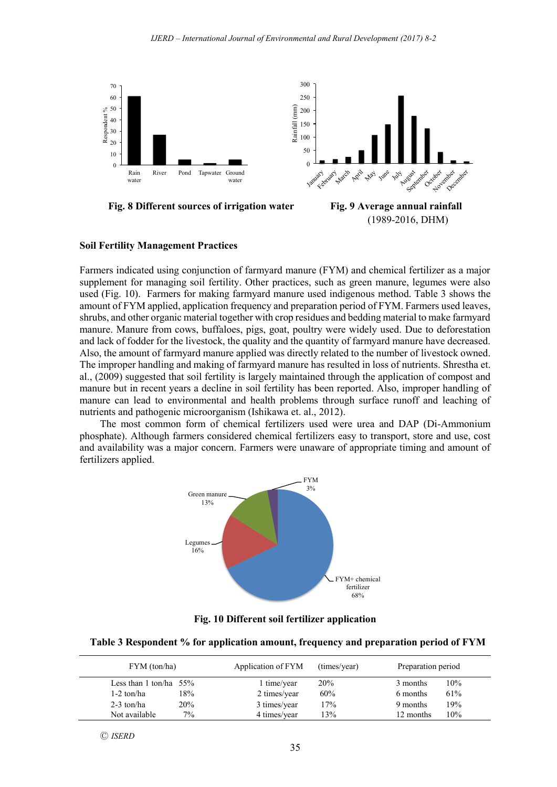



#### **Soil Fertility Management Practices**

Farmers indicated using conjunction of farmyard manure (FYM) and chemical fertilizer as a major supplement for managing soil fertility. Other practices, such as green manure, legumes were also used (Fig. 10). Farmers for making farmyard manure used indigenous method. Table 3 shows the amount of FYM applied, application frequency and preparation period of FYM. Farmers used leaves, shrubs, and other organic material together with crop residues and bedding material to make farmyard manure. Manure from cows, buffaloes, pigs, goat, poultry were widely used. Due to deforestation and lack of fodder for the livestock, the quality and the quantity of farmyard manure have decreased. Also, the amount of farmyard manure applied was directly related to the number of livestock owned. The improper handling and making of farmyard manure has resulted in loss of nutrients. Shrestha et. al., (2009) suggested that soil fertility is largely maintained through the application of compost and manure but in recent years a decline in soil fertility has been reported. Also, improper handling of manure can lead to environmental and health problems through surface runoff and leaching of nutrients and pathogenic microorganism (Ishikawa et. al., 2012).

The most common form of chemical fertilizers used were urea and DAP (Di-Ammonium phosphate). Although farmers considered chemical fertilizers easy to transport, store and use, cost and availability was a major concern. Farmers were unaware of appropriate timing and amount of fertilizers applied.



**Fig. 10 Different soil fertilizer application**

#### **Table 3 Respondent % for application amount, frequency and preparation period of FYM**

| FYM (ton/ha)              |       | Application of FYM | (times/year) | Preparation period |     |
|---------------------------|-------|--------------------|--------------|--------------------|-----|
| Less than 1 ton/ha $55\%$ |       | 1 time/year        | 20%          | 3 months           | 10% |
| 1-2 ton/ha                | 18%   | 2 times/year       | 60%          | 6 months           | 61% |
| $2-3$ ton/ha              | 20%   | 3 times/year       | 17%          | 9 months           | 19% |
| Not available             | $7\%$ | 4 times/year       | 13%          | 12 months          | 10% |